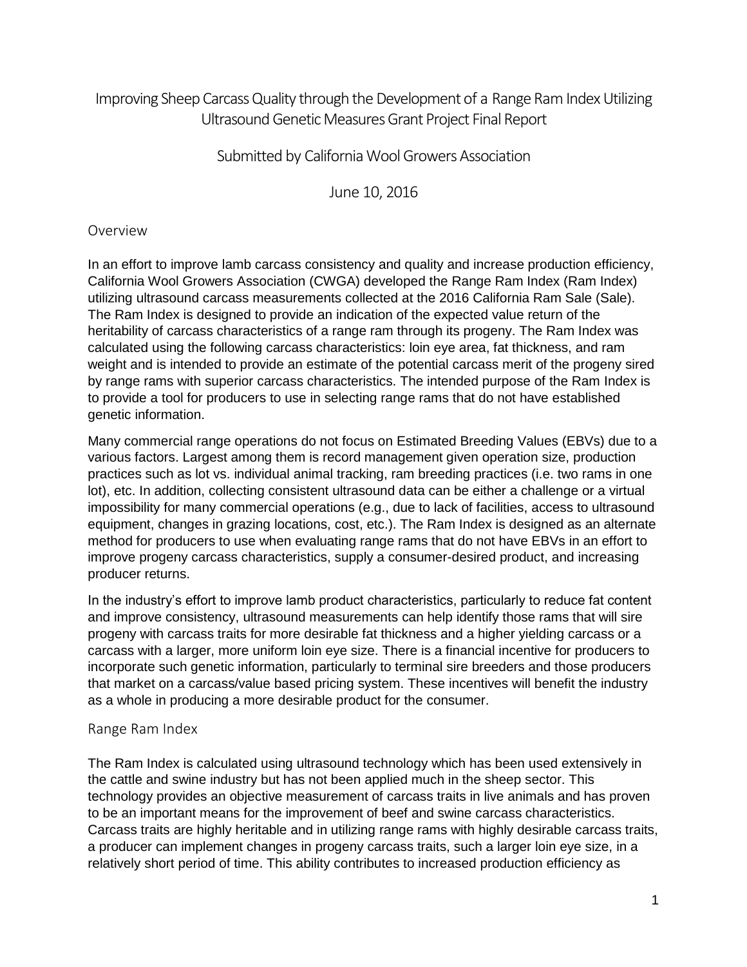# Improving Sheep Carcass Quality through the Development of a Range Ram Index Utilizing Ultrasound Genetic Measures Grant Project Final Report

## Submitted by California Wool Growers Association

June 10, 2016

#### Overview

In an effort to improve lamb carcass consistency and quality and increase production efficiency, California Wool Growers Association (CWGA) developed the Range Ram Index (Ram Index) utilizing ultrasound carcass measurements collected at the 2016 California Ram Sale (Sale). The Ram Index is designed to provide an indication of the expected value return of the heritability of carcass characteristics of a range ram through its progeny. The Ram Index was calculated using the following carcass characteristics: loin eye area, fat thickness, and ram weight and is intended to provide an estimate of the potential carcass merit of the progeny sired by range rams with superior carcass characteristics. The intended purpose of the Ram Index is to provide a tool for producers to use in selecting range rams that do not have established genetic information.

Many commercial range operations do not focus on Estimated Breeding Values (EBVs) due to a various factors. Largest among them is record management given operation size, production practices such as lot vs. individual animal tracking, ram breeding practices (i.e. two rams in one lot), etc. In addition, collecting consistent ultrasound data can be either a challenge or a virtual impossibility for many commercial operations (e.g., due to lack of facilities, access to ultrasound equipment, changes in grazing locations, cost, etc.). The Ram Index is designed as an alternate method for producers to use when evaluating range rams that do not have EBVs in an effort to improve progeny carcass characteristics, supply a consumer-desired product, and increasing producer returns.

In the industry's effort to improve lamb product characteristics, particularly to reduce fat content and improve consistency, ultrasound measurements can help identify those rams that will sire progeny with carcass traits for more desirable fat thickness and a higher yielding carcass or a carcass with a larger, more uniform loin eye size. There is a financial incentive for producers to incorporate such genetic information, particularly to terminal sire breeders and those producers that market on a carcass/value based pricing system. These incentives will benefit the industry as a whole in producing a more desirable product for the consumer.

#### Range Ram Index

The Ram Index is calculated using ultrasound technology which has been used extensively in the cattle and swine industry but has not been applied much in the sheep sector. This technology provides an objective measurement of carcass traits in live animals and has proven to be an important means for the improvement of beef and swine carcass characteristics. Carcass traits are highly heritable and in utilizing range rams with highly desirable carcass traits, a producer can implement changes in progeny carcass traits, such a larger loin eye size, in a relatively short period of time. This ability contributes to increased production efficiency as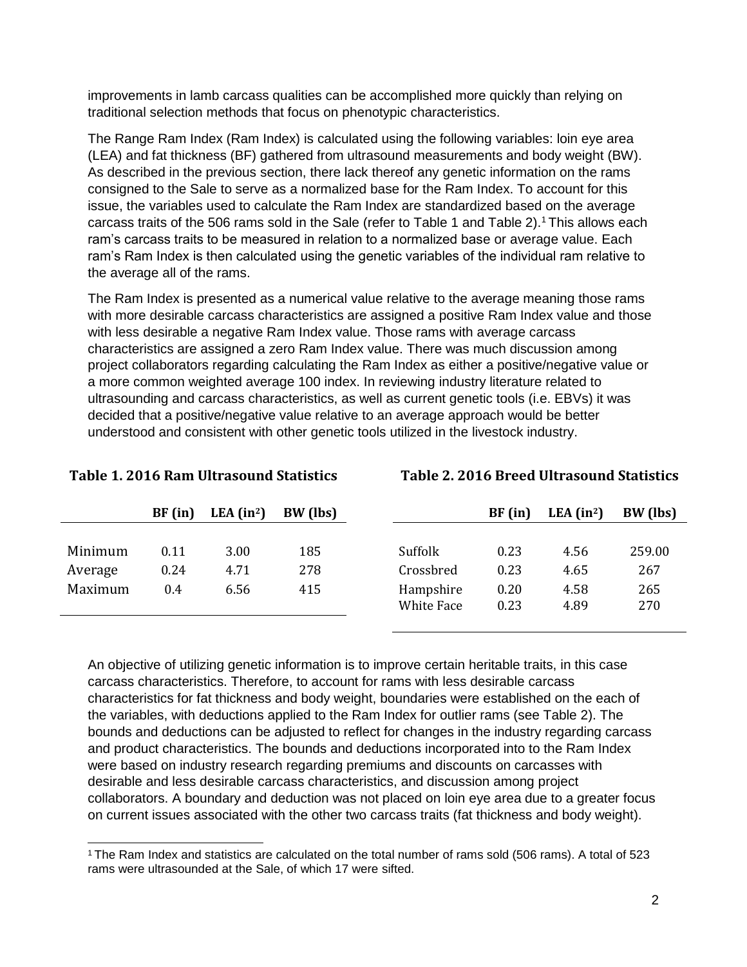improvements in lamb carcass qualities can be accomplished more quickly than relying on traditional selection methods that focus on phenotypic characteristics.

The Range Ram Index (Ram Index) is calculated using the following variables: loin eye area (LEA) and fat thickness (BF) gathered from ultrasound measurements and body weight (BW). As described in the previous section, there lack thereof any genetic information on the rams consigned to the Sale to serve as a normalized base for the Ram Index. To account for this issue, the variables used to calculate the Ram Index are standardized based on the average carcass traits of the 506 rams sold in the Sale (refer to Table 1 and Table 2).<sup>1</sup> This allows each ram's carcass traits to be measured in relation to a normalized base or average value. Each ram's Ram Index is then calculated using the genetic variables of the individual ram relative to the average all of the rams.

The Ram Index is presented as a numerical value relative to the average meaning those rams with more desirable carcass characteristics are assigned a positive Ram Index value and those with less desirable a negative Ram Index value. Those rams with average carcass characteristics are assigned a zero Ram Index value. There was much discussion among project collaborators regarding calculating the Ram Index as either a positive/negative value or a more common weighted average 100 index. In reviewing industry literature related to ultrasounding and carcass characteristics, as well as current genetic tools (i.e. EBVs) it was decided that a positive/negative value relative to an average approach would be better understood and consistent with other genetic tools utilized in the livestock industry.

**Table 1. 2016 Ram Ultrasound Statistics Table 2. 2016 Breed Ultrasound Statistics**

|         | BF(in) | LEA $(in^2)$ | BW (lbs) |                   | BF(in) | LEA $(in^2)$ | BW (lbs) |
|---------|--------|--------------|----------|-------------------|--------|--------------|----------|
|         |        |              |          |                   |        |              |          |
| Minimum | 0.11   | 3.00         | 185      | Suffolk           | 0.23   | 4.56         | 259.00   |
| Average | 0.24   | 4.71         | 278      | Crossbred         | 0.23   | 4.65         | 267      |
| Maximum | 0.4    | 6.56         | 415      | Hampshire         | 0.20   | 4.58         | 265      |
|         |        |              |          | <b>White Face</b> | 0.23   | 4.89         | 270      |
|         |        |              |          |                   |        |              |          |

An objective of utilizing genetic information is to improve certain heritable traits, in this case carcass characteristics. Therefore, to account for rams with less desirable carcass characteristics for fat thickness and body weight, boundaries were established on the each of the variables, with deductions applied to the Ram Index for outlier rams (see Table 2). The bounds and deductions can be adjusted to reflect for changes in the industry regarding carcass and product characteristics. The bounds and deductions incorporated into to the Ram Index were based on industry research regarding premiums and discounts on carcasses with desirable and less desirable carcass characteristics, and discussion among project collaborators. A boundary and deduction was not placed on loin eye area due to a greater focus on current issues associated with the other two carcass traits (fat thickness and body weight).

<sup>1</sup>The Ram Index and statistics are calculated on the total number of rams sold (506 rams). A total of 523 rams were ultrasounded at the Sale, of which 17 were sifted.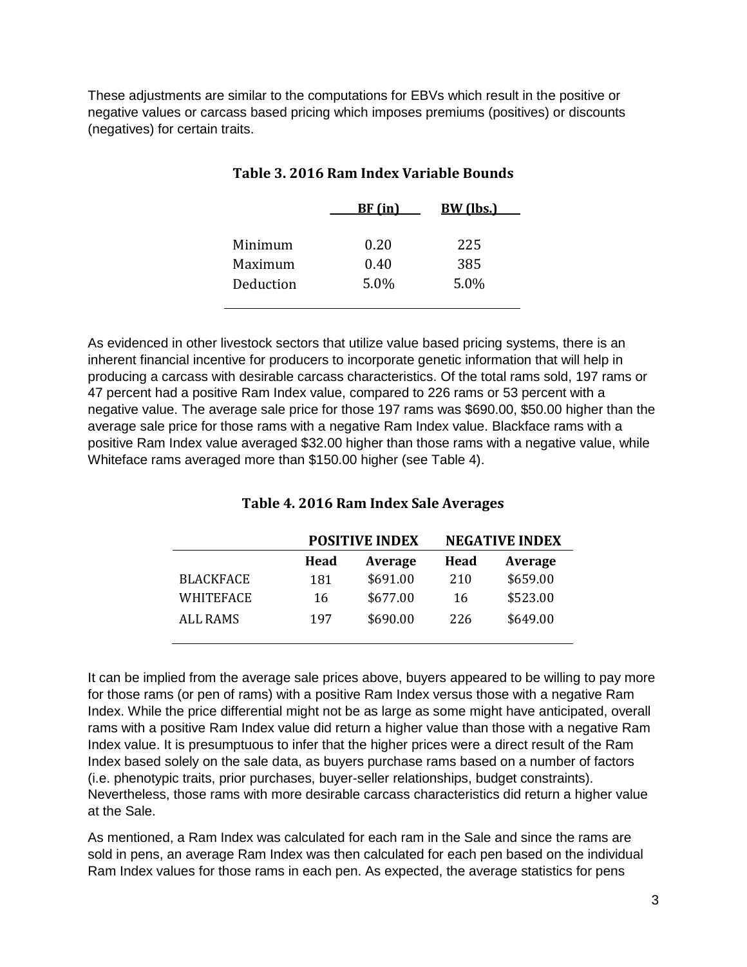These adjustments are similar to the computations for EBVs which result in the positive or negative values or carcass based pricing which imposes premiums (positives) or discounts (negatives) for certain traits.

|           | BF (in) | <b>BW</b> (lbs.) |  |
|-----------|---------|------------------|--|
|           |         |                  |  |
| Minimum   | 0.20    | 225              |  |
| Maximum   | 0.40    | 385              |  |
| Deduction | 5.0%    | 5.0%             |  |
|           |         |                  |  |

#### **Table 3. 2016 Ram Index Variable Bounds**

As evidenced in other livestock sectors that utilize value based pricing systems, there is an inherent financial incentive for producers to incorporate genetic information that will help in producing a carcass with desirable carcass characteristics. Of the total rams sold, 197 rams or 47 percent had a positive Ram Index value, compared to 226 rams or 53 percent with a negative value. The average sale price for those 197 rams was \$690.00, \$50.00 higher than the average sale price for those rams with a negative Ram Index value. Blackface rams with a positive Ram Index value averaged \$32.00 higher than those rams with a negative value, while Whiteface rams averaged more than \$150.00 higher (see Table 4).

#### **Table 4. 2016 Ram Index Sale Averages**

|                  |      | <b>POSITIVE INDEX</b> | <b>NEGATIVE INDEX</b> |          |  |
|------------------|------|-----------------------|-----------------------|----------|--|
|                  | Head | Average               | Head                  | Average  |  |
| <b>BLACKFACE</b> | 181  | \$691.00              | 210                   | \$659.00 |  |
| WHITEFACE        | 16   | \$677.00              | 16                    | \$523.00 |  |
| <b>ALL RAMS</b>  | 197  | \$690.00              | 226                   | \$649.00 |  |

It can be implied from the average sale prices above, buyers appeared to be willing to pay more for those rams (or pen of rams) with a positive Ram Index versus those with a negative Ram Index. While the price differential might not be as large as some might have anticipated, overall rams with a positive Ram Index value did return a higher value than those with a negative Ram Index value. It is presumptuous to infer that the higher prices were a direct result of the Ram Index based solely on the sale data, as buyers purchase rams based on a number of factors (i.e. phenotypic traits, prior purchases, buyer-seller relationships, budget constraints). Nevertheless, those rams with more desirable carcass characteristics did return a higher value at the Sale.

As mentioned, a Ram Index was calculated for each ram in the Sale and since the rams are sold in pens, an average Ram Index was then calculated for each pen based on the individual Ram Index values for those rams in each pen. As expected, the average statistics for pens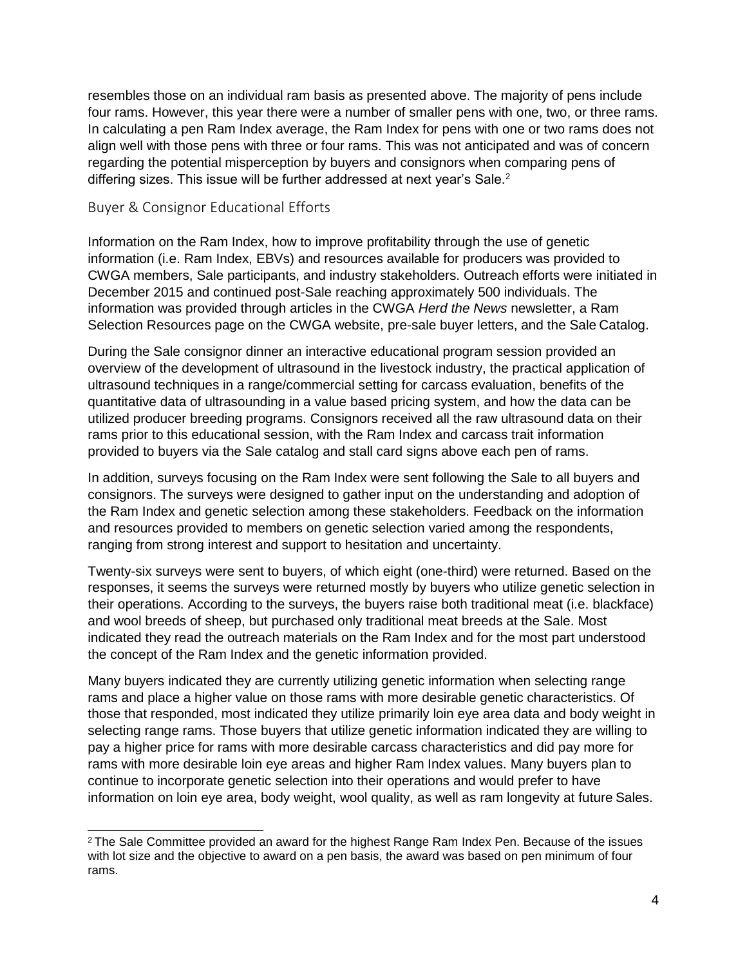resembles those on an individual ram basis as presented above. The majority of pens include four rams. However, this year there were a number of smaller pens with one, two, or three rams. In calculating a pen Ram Index average, the Ram Index for pens with one or two rams does not align well with those pens with three or four rams. This was not anticipated and was of concern regarding the potential misperception by buyers and consignors when comparing pens of differing sizes. This issue will be further addressed at next year's Sale.<sup>2</sup>

#### Buyer & Consignor Educational Efforts

Information on the Ram Index, how to improve profitability through the use of genetic information (i.e. Ram Index, EBVs) and resources available for producers was provided to CWGA members, Sale participants, and industry stakeholders. Outreach efforts were initiated in December 2015 and continued post-Sale reaching approximately 500 individuals. The information was provided through articles in the CWGA *Herd the News* newsletter, a Ram Selection Resources page on the CWGA website, pre-sale buyer letters, and the Sale Catalog.

During the Sale consignor dinner an interactive educational program session provided an overview of the development of ultrasound in the livestock industry, the practical application of ultrasound techniques in a range/commercial setting for carcass evaluation, benefits of the quantitative data of ultrasounding in a value based pricing system, and how the data can be utilized producer breeding programs. Consignors received all the raw ultrasound data on their rams prior to this educational session, with the Ram Index and carcass trait information provided to buyers via the Sale catalog and stall card signs above each pen of rams.

In addition, surveys focusing on the Ram Index were sent following the Sale to all buyers and consignors. The surveys were designed to gather input on the understanding and adoption of the Ram Index and genetic selection among these stakeholders. Feedback on the information and resources provided to members on genetic selection varied among the respondents, ranging from strong interest and support to hesitation and uncertainty.

Twenty-six surveys were sent to buyers, of which eight (one-third) were returned. Based on the responses, it seems the surveys were returned mostly by buyers who utilize genetic selection in their operations. According to the surveys, the buyers raise both traditional meat (i.e. blackface) and wool breeds of sheep, but purchased only traditional meat breeds at the Sale. Most indicated they read the outreach materials on the Ram Index and for the most part understood the concept of the Ram Index and the genetic information provided.

Many buyers indicated they are currently utilizing genetic information when selecting range rams and place a higher value on those rams with more desirable genetic characteristics. Of those that responded, most indicated they utilize primarily loin eye area data and body weight in selecting range rams. Those buyers that utilize genetic information indicated they are willing to pay a higher price for rams with more desirable carcass characteristics and did pay more for rams with more desirable loin eye areas and higher Ram Index values. Many buyers plan to continue to incorporate genetic selection into their operations and would prefer to have information on loin eye area, body weight, wool quality, as well as ram longevity at future Sales.

<sup>2</sup>The Sale Committee provided an award for the highest Range Ram Index Pen. Because of the issues with lot size and the objective to award on a pen basis, the award was based on pen minimum of four rams.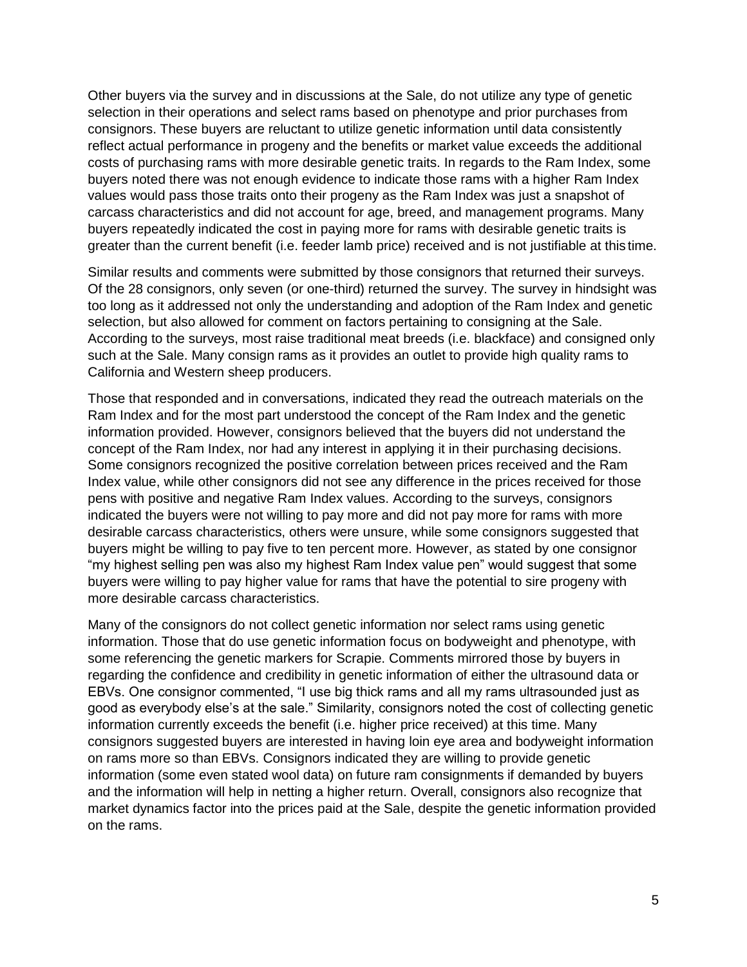Other buyers via the survey and in discussions at the Sale, do not utilize any type of genetic selection in their operations and select rams based on phenotype and prior purchases from consignors. These buyers are reluctant to utilize genetic information until data consistently reflect actual performance in progeny and the benefits or market value exceeds the additional costs of purchasing rams with more desirable genetic traits. In regards to the Ram Index, some buyers noted there was not enough evidence to indicate those rams with a higher Ram Index values would pass those traits onto their progeny as the Ram Index was just a snapshot of carcass characteristics and did not account for age, breed, and management programs. Many buyers repeatedly indicated the cost in paying more for rams with desirable genetic traits is greater than the current benefit (i.e. feeder lamb price) received and is not justifiable at this time.

Similar results and comments were submitted by those consignors that returned their surveys. Of the 28 consignors, only seven (or one-third) returned the survey. The survey in hindsight was too long as it addressed not only the understanding and adoption of the Ram Index and genetic selection, but also allowed for comment on factors pertaining to consigning at the Sale. According to the surveys, most raise traditional meat breeds (i.e. blackface) and consigned only such at the Sale. Many consign rams as it provides an outlet to provide high quality rams to California and Western sheep producers.

Those that responded and in conversations, indicated they read the outreach materials on the Ram Index and for the most part understood the concept of the Ram Index and the genetic information provided. However, consignors believed that the buyers did not understand the concept of the Ram Index, nor had any interest in applying it in their purchasing decisions. Some consignors recognized the positive correlation between prices received and the Ram Index value, while other consignors did not see any difference in the prices received for those pens with positive and negative Ram Index values. According to the surveys, consignors indicated the buyers were not willing to pay more and did not pay more for rams with more desirable carcass characteristics, others were unsure, while some consignors suggested that buyers might be willing to pay five to ten percent more. However, as stated by one consignor "my highest selling pen was also my highest Ram Index value pen" would suggest that some buyers were willing to pay higher value for rams that have the potential to sire progeny with more desirable carcass characteristics.

Many of the consignors do not collect genetic information nor select rams using genetic information. Those that do use genetic information focus on bodyweight and phenotype, with some referencing the genetic markers for Scrapie. Comments mirrored those by buyers in regarding the confidence and credibility in genetic information of either the ultrasound data or EBVs. One consignor commented, "I use big thick rams and all my rams ultrasounded just as good as everybody else's at the sale." Similarity, consignors noted the cost of collecting genetic information currently exceeds the benefit (i.e. higher price received) at this time. Many consignors suggested buyers are interested in having loin eye area and bodyweight information on rams more so than EBVs. Consignors indicated they are willing to provide genetic information (some even stated wool data) on future ram consignments if demanded by buyers and the information will help in netting a higher return. Overall, consignors also recognize that market dynamics factor into the prices paid at the Sale, despite the genetic information provided on the rams.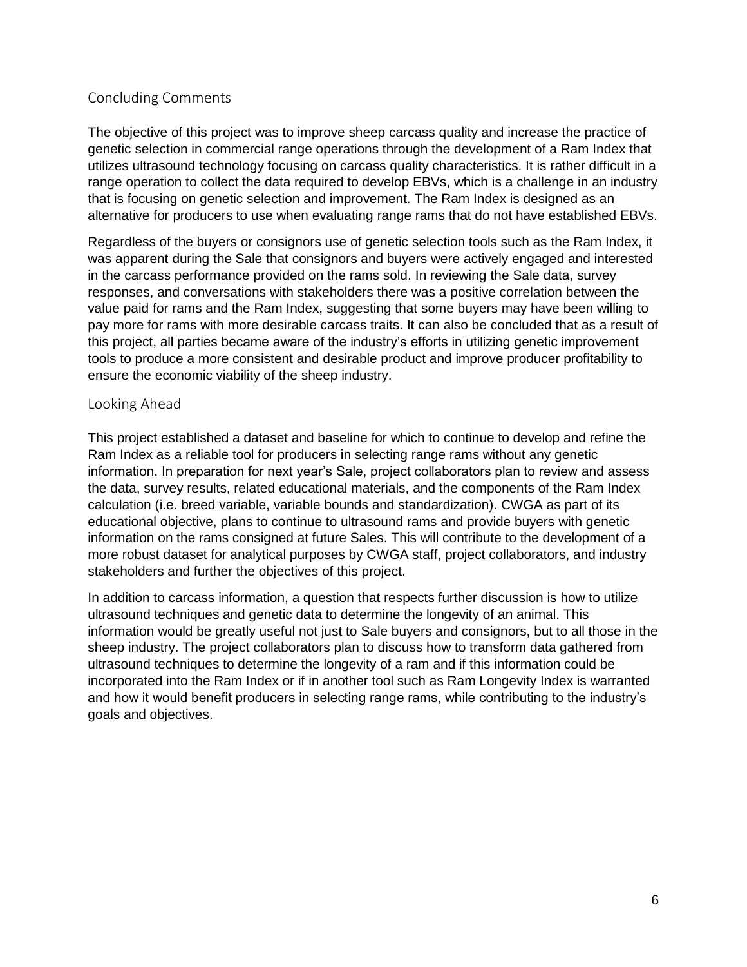### Concluding Comments

The objective of this project was to improve sheep carcass quality and increase the practice of genetic selection in commercial range operations through the development of a Ram Index that utilizes ultrasound technology focusing on carcass quality characteristics. It is rather difficult in a range operation to collect the data required to develop EBVs, which is a challenge in an industry that is focusing on genetic selection and improvement. The Ram Index is designed as an alternative for producers to use when evaluating range rams that do not have established EBVs.

Regardless of the buyers or consignors use of genetic selection tools such as the Ram Index, it was apparent during the Sale that consignors and buyers were actively engaged and interested in the carcass performance provided on the rams sold. In reviewing the Sale data, survey responses, and conversations with stakeholders there was a positive correlation between the value paid for rams and the Ram Index, suggesting that some buyers may have been willing to pay more for rams with more desirable carcass traits. It can also be concluded that as a result of this project, all parties became aware of the industry's efforts in utilizing genetic improvement tools to produce a more consistent and desirable product and improve producer profitability to ensure the economic viability of the sheep industry.

#### Looking Ahead

This project established a dataset and baseline for which to continue to develop and refine the Ram Index as a reliable tool for producers in selecting range rams without any genetic information. In preparation for next year's Sale, project collaborators plan to review and assess the data, survey results, related educational materials, and the components of the Ram Index calculation (i.e. breed variable, variable bounds and standardization). CWGA as part of its educational objective, plans to continue to ultrasound rams and provide buyers with genetic information on the rams consigned at future Sales. This will contribute to the development of a more robust dataset for analytical purposes by CWGA staff, project collaborators, and industry stakeholders and further the objectives of this project.

In addition to carcass information, a question that respects further discussion is how to utilize ultrasound techniques and genetic data to determine the longevity of an animal. This information would be greatly useful not just to Sale buyers and consignors, but to all those in the sheep industry. The project collaborators plan to discuss how to transform data gathered from ultrasound techniques to determine the longevity of a ram and if this information could be incorporated into the Ram Index or if in another tool such as Ram Longevity Index is warranted and how it would benefit producers in selecting range rams, while contributing to the industry's goals and objectives.